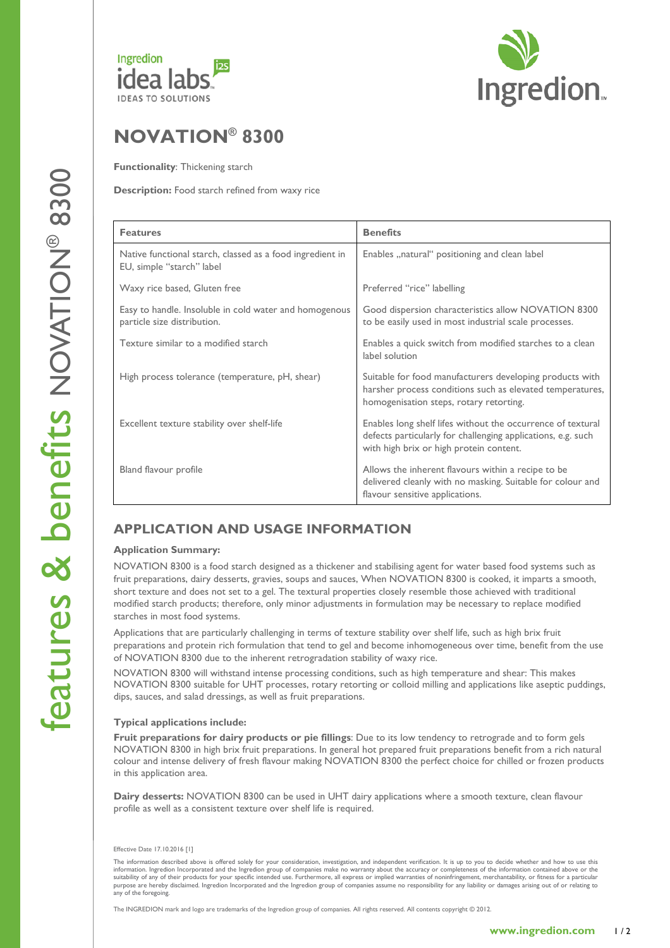



# NOVATION® 8300

**Functionality: Thickening starch** 

Description: Food starch refined from waxy rice

| <b>Features</b>                                                                        | <b>Benefits</b>                                                                                                                                                        |
|----------------------------------------------------------------------------------------|------------------------------------------------------------------------------------------------------------------------------------------------------------------------|
| Native functional starch, classed as a food ingredient in<br>EU, simple "starch" label | Enables "natural" positioning and clean label                                                                                                                          |
| Waxy rice based, Gluten free                                                           | Preferred "rice" labelling                                                                                                                                             |
| Easy to handle. Insoluble in cold water and homogenous<br>particle size distribution.  | Good dispersion characteristics allow NOVATION 8300<br>to be easily used in most industrial scale processes.                                                           |
| Texture similar to a modified starch                                                   | Enables a quick switch from modified starches to a clean<br>label solution                                                                                             |
| High process tolerance (temperature, pH, shear)                                        | Suitable for food manufacturers developing products with<br>harsher process conditions such as elevated temperatures,<br>homogenisation steps, rotary retorting.       |
| Excellent texture stability over shelf-life                                            | Enables long shelf lifes without the occurrence of textural<br>defects particularly for challenging applications, e.g. such<br>with high brix or high protein content. |
| Bland flavour profile                                                                  | Allows the inherent flavours within a recipe to be<br>delivered cleanly with no masking. Suitable for colour and<br>flavour sensitive applications.                    |

## APPLICATION AND USAGE INFORMATION

### Application Summary:

NOVATION 8300 is a food starch designed as a thickener and stabilising agent for water based food systems such as fruit preparations, dairy desserts, gravies, soups and sauces, When NOVATION 8300 is cooked, it imparts a smooth, short texture and does not set to a gel. The textural properties closely resemble those achieved with traditional modified starch products; therefore, only minor adjustments in formulation may be necessary to replace modified starches in most food systems.

Applications that are particularly challenging in terms of texture stability over shelf life, such as high brix fruit preparations and protein rich formulation that tend to gel and become inhomogeneous over time, benefit from the use of NOVATION 8300 due to the inherent retrogradation stability of waxy rice.

NOVATION 8300 will withstand intense processing conditions, such as high temperature and shear: This makes NOVATION 8300 suitable for UHT processes, rotary retorting or colloid milling and applications like aseptic puddings, dips, sauces, and salad dressings, as well as fruit preparations.

### Typical applications include:

Fruit preparations for dairy products or pie fillings: Due to its low tendency to retrograde and to form gels NOVATION 8300 in high brix fruit preparations. In general hot prepared fruit preparations benefit from a rich natural colour and intense delivery of fresh flavour making NOVATION 8300 the perfect choice for chilled or frozen products in this application area.

Dairy desserts: NOVATION 8300 can be used in UHT dairy applications where a smooth texture, clean flavour profile as well as a consistent texture over shelf life is required.

#### Effective Date 17.10.2016 [1]

The information described above is offered solely for your consideration, investigation, and independent verification. It is up to you to decide whether and how to use this information. Ingredion Incorporated and the Ingredion group of companies make no warranty about the accuracy or completeness of the information contained above or the suitability of any of their products for your specific intended use. Furthermore, all express or implied warranties of noninfringement, merchantability, or fitness for a particular<br>purpose are hereby disclaimed. Ingredion any of the foregoing.

The INGREDION mark and logo are trademarks of the Ingredion group of companies. All rights reserved. All contents copyright © 2012.